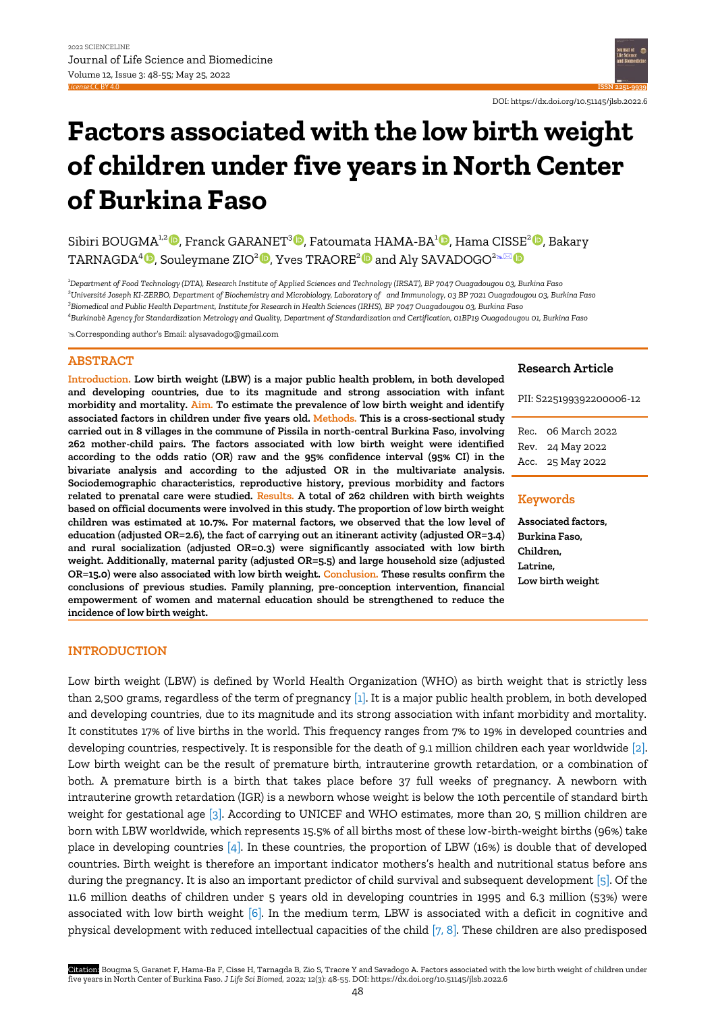

# **Factors associated with the low birth weight of children under five years in North Center of Burkina Faso**

Sibiri BOUGMA<sup>1,[2](https://orcid.org/0000-0002-9986-003X)</sup><sup>0</sup>[,](https://orcid.org/0000-0003-3171-3137) Franck GARANET<sup>3</sup>0[,](https://orcid.org/0000-0001-7766-9501) Fatoumata HAMA-BA<sup>1</sup>0, Hama CISSE<sup>2</sup>0, Bakary TARNAGDA $^{4}$   $\textsf{D}$ [,](https://orcid.org/0000-0001-8307-2103) Souleymane ZIO $^{2}$  $^{2}$  $^{2}$   $\textsf{D}$ [,](https://orcid.org/0000-0002-0900-7191) Yves TRAORE $^{2}$   $\textsf{D}$  and Aly SAVADOGO $^{2}$ s $\boxtimes$ 

*Department of Food Technology (DTA), Research Institute of Applied Sciences and Technology (IRSAT), BP 7047 Ouagadougou 03, Burkina Faso Université Joseph KI-ZERBO, Department of Biochemistry and Microbiology, Laboratory of and Immunology, 03 BP 7021 Ouagadougou 03, Burkina Faso Biomedical and Public Health Department, Institute for Research in Health Sciences (IRHS), BP 7047 Ouagadougou 03, Burkina Faso Burkinabè Agency for Standardization Metrology and Quality, Department of Standardization and Certification, 01BP19 Ouagadougou 01, Burkina Faso*

Corresponding author's Email: alysavadogo@gmail.com

# **ABSTRACT**

**Introduction. Low birth weight (LBW) is a major public health problem, in both developed and developing countries, due to its magnitude and strong association with infant morbidity and mortality. Aim. To estimate the prevalence of low birth weight and identify associated factors in children under five years old. Methods. This is a cross-sectional study carried out in 8 villages in the commune of Pissila in north-central Burkina Faso, involving 262 mother-child pairs. The factors associated with low birth weight were identified according to the odds ratio (OR) raw and the 95% confidence interval (95% CI) in the bivariate analysis and according to the adjusted OR in the multivariate analysis. Sociodemographic characteristics, reproductive history, previous morbidity and factors related to prenatal care were studied. Results. A total of 262 children with birth weights based on official documents were involved in this study. The proportion of low birth weight children was estimated at 10.7%. For maternal factors, we observed that the low level of education (adjusted OR=2.6), the fact of carrying out an itinerant activity (adjusted OR=3.4) and rural socialization (adjusted OR=0.3) were significantly associated with low birth weight. Additionally, maternal parity (adjusted OR=5.5) and large household size (adjusted OR=15.0) were also associated with low birth weight. Conclusion. These results confirm the conclusions of previous studies. Family planning, pre-conception intervention, financial empowerment of women and maternal education should be strengthened to reduce the incidence of low birth weight.**

# **Research Article**

PII: S225199392200006-12

Rec. 06 March 2022 Rev. 24 May 2022 Acc. 25 May 2022

# **Keywords**

**Associated factors, Burkina Faso, Children, Latrine, Low birth weight**

## **INTRODUCTION**

Low birth weight (LBW) is defined by World Health Organization (WHO) as birth weight that is strictly less than 2,500 grams, regardless of the term of pregnancy  $[1]$ . It is a major public health problem, in both developed and developing countries, due to its magnitude and its strong association with infant morbidity and mortality. It constitutes 17% of live births in the world. This frequency ranges from 7% to 19% in developed countries and developing countries, respectively. It is responsible for the death of 9.1 million children each year worldwide [\[2\].](#page-7-0)  Low birth weight can be the result of premature birth, intrauterine growth retardation, or a combination of both. A premature birth is a birth that takes place before 37 full weeks of pregnancy. A newborn with intrauterine growth retardation (IGR) is a newborn whose weight is below the 10th percentile of standard birth weight for gestational age [\[3\].](#page-7-0) According to UNICEF and WHO estimates, more than 20, 5 million children are born with LBW worldwide, which represents 15.5% of all births most of these low-birth-weight births (96%) take place in developing countries [\[4\].](#page-7-0) In these countries, the proportion of LBW (16%) is double that of developed countries. Birth weight is therefore an important indicator mothers's health and nutritional status before ans during the pregnancy. It is also an important predictor of child survival and subsequent development [\[5\].](#page-7-0) Of the 11.6 million deaths of children under 5 years old in developing countries in 1995 and 6.3 million (53%) were associated with low birth weight [\[6\].](#page-7-0) In the medium term, LBW is associated with a deficit in cognitive and physical development with reduced intellectual capacities of the child [\[7, 8\].](#page-7-0) These children are also predisposed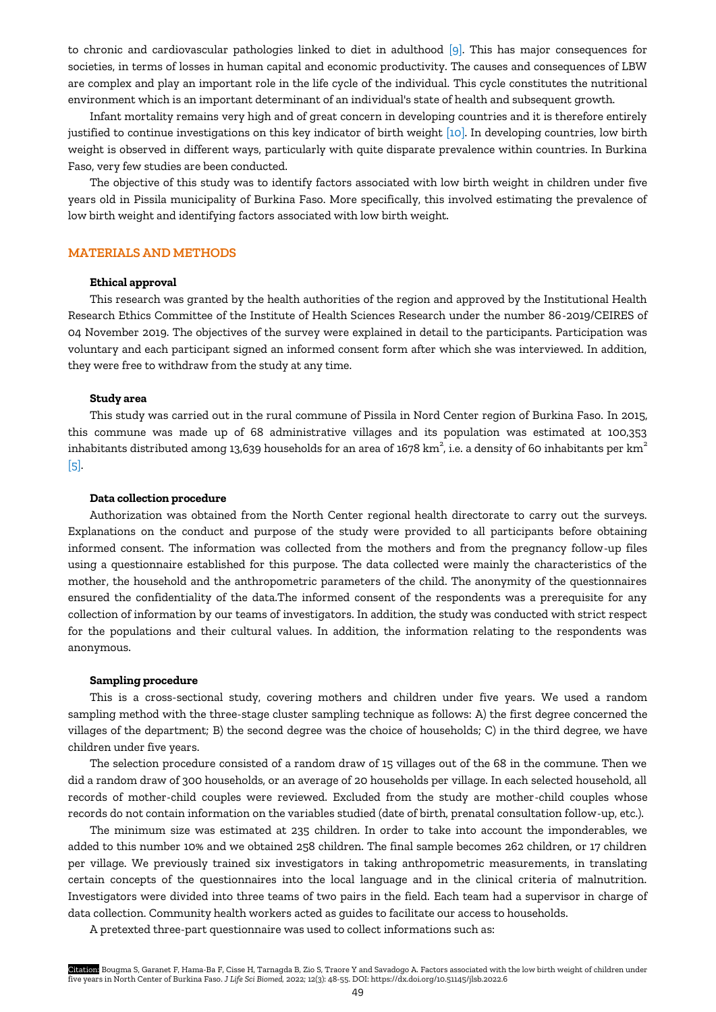to chronic and cardiovascular pathologies linked to diet in adulthood [\[9\].](#page-7-0) This has major consequences for societies, in terms of losses in human capital and economic productivity. The causes and consequences of LBW are complex and play an important role in the life cycle of the individual. This cycle constitutes the nutritional environment which is an important determinant of an individual's state of health and subsequent growth.

Infant mortality remains very high and of great concern in developing countries and it is therefore entirely justified to continue investigations on this key indicator of birth weight [\[10\].](#page-7-0) In developing countries, low birth weight is observed in different ways, particularly with quite disparate prevalence within countries. In Burkina Faso, very few studies are been conducted.

The objective of this study was to identify factors associated with low birth weight in children under five years old in Pissila municipality of Burkina Faso. More specifically, this involved estimating the prevalence of low birth weight and identifying factors associated with low birth weight.

## **MATERIALS AND METHODS**

## **Ethical approval**

This research was granted by the health authorities of the region and approved by the Institutional Health Research Ethics Committee of the Institute of Health Sciences Research under the number 86-2019/CEIRES of 04 November 2019. The objectives of the survey were explained in detail to the participants. Participation was voluntary and each participant signed an informed consent form after which she was interviewed. In addition, they were free to withdraw from the study at any time.

## **Study area**

This study was carried out in the rural commune of Pissila in Nord Center region of Burkina Faso. In 2015, this commune was made up of 68 administrative villages and its population was estimated at 100,353 inhabitants distributed among 13,639 households for an area of 1678 km $^2$ , i.e. a density of 60 inhabitants per km $^2$ [\[5\].](#page-7-0) 

## **Data collection procedure**

Authorization was obtained from the North Center regional health directorate to carry out the surveys. Explanations on the conduct and purpose of the study were provided to all participants before obtaining informed consent. The information was collected from the mothers and from the pregnancy follow-up files using a questionnaire established for this purpose. The data collected were mainly the characteristics of the mother, the household and the anthropometric parameters of the child. The anonymity of the questionnaires ensured the confidentiality of the data.The informed consent of the respondents was a prerequisite for any collection of information by our teams of investigators. In addition, the study was conducted with strict respect for the populations and their cultural values. In addition, the information relating to the respondents was anonymous.

#### **Sampling procedure**

This is a cross-sectional study, covering mothers and children under five years. We used a random sampling method with the three-stage cluster sampling technique as follows: A) the first degree concerned the villages of the department; B) the second degree was the choice of households; C) in the third degree, we have children under five years.

The selection procedure consisted of a random draw of 15 villages out of the 68 in the commune. Then we did a random draw of 300 households, or an average of 20 households per village. In each selected household, all records of mother-child couples were reviewed. Excluded from the study are mother-child couples whose records do not contain information on the variables studied (date of birth, prenatal consultation follow-up, etc.).

The minimum size was estimated at 235 children. In order to take into account the imponderables, we added to this number 10% and we obtained 258 children. The final sample becomes 262 children, or 17 children per village. We previously trained six investigators in taking anthropometric measurements, in translating certain concepts of the questionnaires into the local language and in the clinical criteria of malnutrition. Investigators were divided into three teams of two pairs in the field. Each team had a supervisor in charge of data collection. Community health workers acted as guides to facilitate our access to households.

A pretexted three-part questionnaire was used to collect informations such as:

Citation: Bougma S, Garanet F, Hama-Ba F, Cisse H, Tarnagda B, Zio S, Traore Y and Savadogo A. Factors associated with the low birth weight of children under five years in North Center of Burkina Faso. *J Life Sci Biomed,* 2022; 12(3): 48-55. DOI: https://dx.doi.org/10.51145/jlsb.2022.6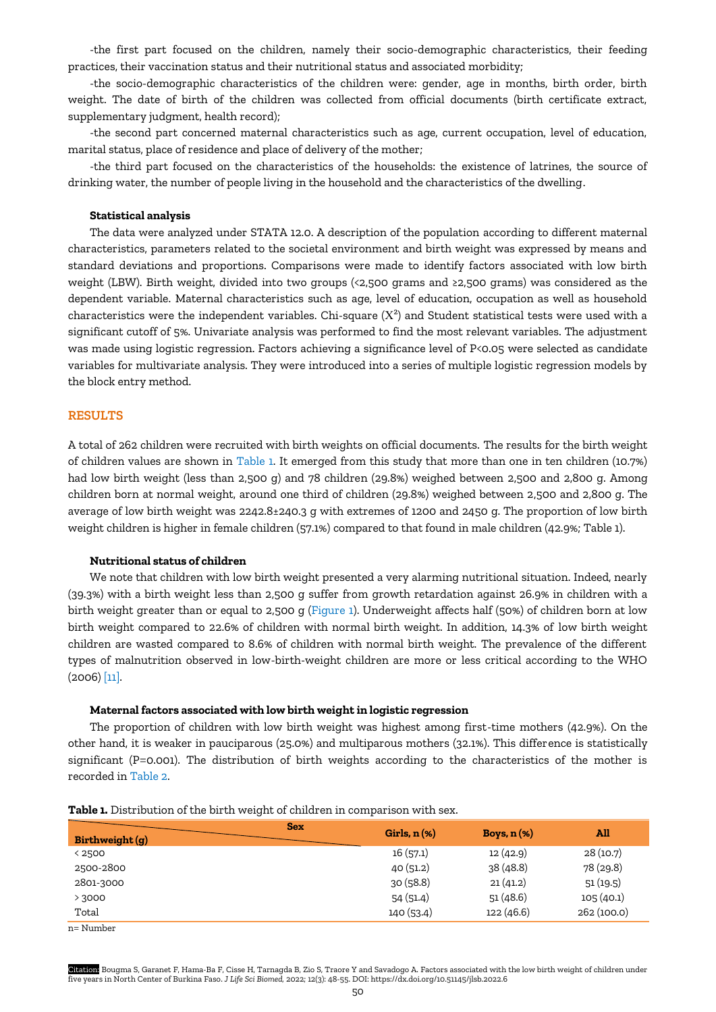-the first part focused on the children, namely their socio-demographic characteristics, their feeding practices, their vaccination status and their nutritional status and associated morbidity;

-the socio-demographic characteristics of the children were: gender, age in months, birth order, birth weight. The date of birth of the children was collected from official documents (birth certificate extract, supplementary judgment, health record);

-the second part concerned maternal characteristics such as age, current occupation, level of education, marital status, place of residence and place of delivery of the mother;

-the third part focused on the characteristics of the households: the existence of latrines, the source of drinking water, the number of people living in the household and the characteristics of the dwelling.

## **Statistical analysis**

The data were analyzed under STATA 12.0. A description of the population according to different maternal characteristics, parameters related to the societal environment and birth weight was expressed by means and standard deviations and proportions. Comparisons were made to identify factors associated with low birth weight (LBW). Birth weight, divided into two groups (<2,500 grams and ≥2,500 grams) was considered as the dependent variable. Maternal characteristics such as age, level of education, occupation as well as household characteristics were the independent variables. Chi-square  $(X^2)$  and Student statistical tests were used with a significant cutoff of 5%. Univariate analysis was performed to find the most relevant variables. The adjustment was made using logistic regression. Factors achieving a significance level of P<0.05 were selected as candidate variables for multivariate analysis. They were introduced into a series of multiple logistic regression models by the block entry method.

# **RESULTS**

A total of 262 children were recruited with birth weights on official documents. The results for the birth weight of children values are shown in Table 1. It emerged from this study that more than one in ten children (10.7%) had low birth weight (less than 2,500 g) and 78 children (29.8%) weighed between 2,500 and 2,800 g. Among children born at normal weight, around one third of children (29.8%) weighed between 2,500 and 2,800 g. The average of low birth weight was 2242.8±240.3 g with extremes of 1200 and 2450 g. The proportion of low birth weight children is higher in female children (57.1%) compared to that found in male children (42.9%; Table 1).

### **Nutritional status of children**

We note that children with low birth weight presented a very alarming nutritional situation. Indeed, nearly (39.3%) with a birth weight less than 2,500 g suffer from growth retardation against 26.9% in children with a birth weight greater than or equal to 2,500 g (Figure 1). Underweight affects half (50%) of children born at low birth weight compared to 22.6% of children with normal birth weight. In addition, 14.3% of low birth weight children are wasted compared to 8.6% of children with normal birth weight. The prevalence of the different types of malnutrition observed in low-birth-weight children are more or less critical according to the WHO  $(2006)$  [\[11\].](#page-7-0)

#### **Maternal factors associated with low birth weight in logistic regression**

The proportion of children with low birth weight was highest among first-time mothers (42.9%). On the other hand, it is weaker in pauciparous (25.0%) and multiparous mothers (32.1%). This difference is statistically significant (P=0.001). The distribution of birth weights according to the characteristics of the mother is recorded in Table 2.

| <b>Sex</b><br>Birthweight(q) | Girls, $n$ $(\%)$ | Boys, $n$ $(\%)$ | All         |
|------------------------------|-------------------|------------------|-------------|
| <2500                        | 16(57.1)          | 12(42.9)         | 28(10.7)    |
| 2500-2800                    | 40(51.2)          | 38 (48.8)        | 78 (29.8)   |
| 2801-3000                    | 30(58.8)          | 21(41.2)         | 51(19.5)    |
| > 3000                       | 54(51.4)          | 51(48.6)         | 105(40.1)   |
| Total                        | 140 (53.4)        | 122(46.6)        | 262 (100.0) |

**Table 1.** Distribution of the birth weight of children in comparison with sex.

n= Number

Citation: Bougma S, Garanet F, Hama-Ba F, Cisse H, Tarnagda B, Zio S, Traore Y and Savadogo A. Factors associated with the low birth weight of children under five years in North Center of Burkina Faso. *J Life Sci Biomed,* 2022; 12(3): 48-55. DOI: https://dx.doi.org/10.51145/jlsb.2022.6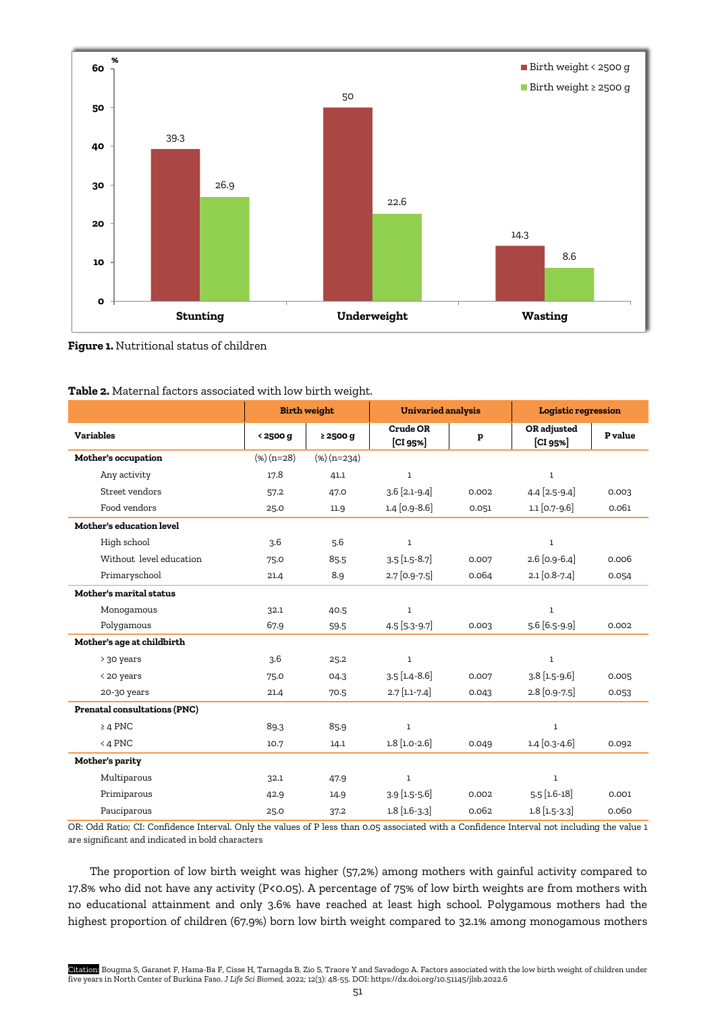

## **Figure 1.** Nutritional status of children

|                                     | <b>Birth weight</b> |                | <b>Univaried analysis</b> |       | <b>Logistic regression</b> |         |
|-------------------------------------|---------------------|----------------|---------------------------|-------|----------------------------|---------|
| <b>Variables</b>                    | < 2500 g            | $\geq$ 2500 g  | Crude OR<br>[CI 95%]      | p     | OR adjusted<br>[CI 95%]    | P value |
| Mother's occupation                 | $(*) (n=28)$        | $(\%)$ (n=234) |                           |       |                            |         |
| Any activity                        | 17.8                | 41.1           | $\mathbf 1$               |       | $\mathbf 1$                |         |
| Street vendors                      | 57.2                | 47.0           | $3.6$ [2.1-9.4]           | 0.002 | 4.4 [2.5-9.4]              | 0.003   |
| Food vendors                        | 25.0                | 11.9           | $1.4$ [0.9-8.6]           | 0.051 | $1.1$ [0.7-9.6]            | 0.061   |
| Mother's education level            |                     |                |                           |       |                            |         |
| High school                         | 3.6                 | 5.6            | $\mathbf 1$               |       | $\mathbf 1$                |         |
| Without level education             | 75.0                | 85.5           | $3.5$ [1.5-8.7]           | 0.007 | 2.6 [0.9-6.4]              | 0.006   |
| Primaryschool                       | 21.4                | 8.9            | 2.7 [0.9-7.5]             | 0.064 | $2.1$ [0.8-7.4]            | 0.054   |
| Mother's marital status             |                     |                |                           |       |                            |         |
| Monogamous                          | 32.1                | 40.5           | $\mathbf{1}$              |       | $\mathbf{1}$               |         |
| Polygamous                          | 67.9                | 59.5           | 4.5 [5.3-9.7]             | 0.003 | 5.6 [6.5-9.9]              | 0.002   |
| Mother's age at childbirth          |                     |                |                           |       |                            |         |
| > 30 years                          | 3.6                 | 25.2           | $\mathbf{1}$              |       | $\mathbf 1$                |         |
| < 20 years                          | 75.0                | 04.3           | $3.5$ [1.4-8.6]           | 0.007 | $3.8$ [1.5-9.6]            | 0.005   |
| 20-30 years                         | 21.4                | 70.5           | $2.7$ [1.1-7.4]           | 0.043 | 2.8 [0.9-7.5]              | 0.053   |
| <b>Prenatal consultations (PNC)</b> |                     |                |                           |       |                            |         |
| $\geq 4$ PNC                        | 89.3                | 85.9           | $\mathbf 1$               |       | $\mathbf 1$                |         |
| $<$ 4 PNC                           | 10.7                | 14.1           | $1.8$ [1.0-2.6]           | 0.049 | $1.4$ [0.3-4.6]            | 0.092   |
| Mother's parity                     |                     |                |                           |       |                            |         |
| Multiparous                         | 32.1                | 47.9           | $\mathbf{1}$              |       | $\mathbf{1}$               |         |
| Primiparous                         | 42.9                | 14.9           | $3.9$ [1.5-5.6]           | 0.002 | $5.5$ [1.6-18]             | 0.001   |
| Pauciparous                         | 25.0                | 37.2           | $1.8$ [ $1.6 - 3.3$ ]     | 0.062 | $1.8$ [1.5-3.3]            | 0.060   |

|  | Table 2. Maternal factors associated with low birth weight. |  |  |  |  |  |  |
|--|-------------------------------------------------------------|--|--|--|--|--|--|
|--|-------------------------------------------------------------|--|--|--|--|--|--|

OR: Odd Ratio; CI: Confidence Interval. Only the values of P less than 0.05 associated with a Confidence Interval not including the value 1 are significant and indicated in bold characters

The proportion of low birth weight was higher (57,2%) among mothers with gainful activity compared to 17.8% who did not have any activity (P<0.05). A percentage of 75% of low birth weights are from mothers with no educational attainment and only 3.6% have reached at least high school. Polygamous mothers had the highest proportion of children (67.9%) born low birth weight compared to 32.1% among monogamous mothers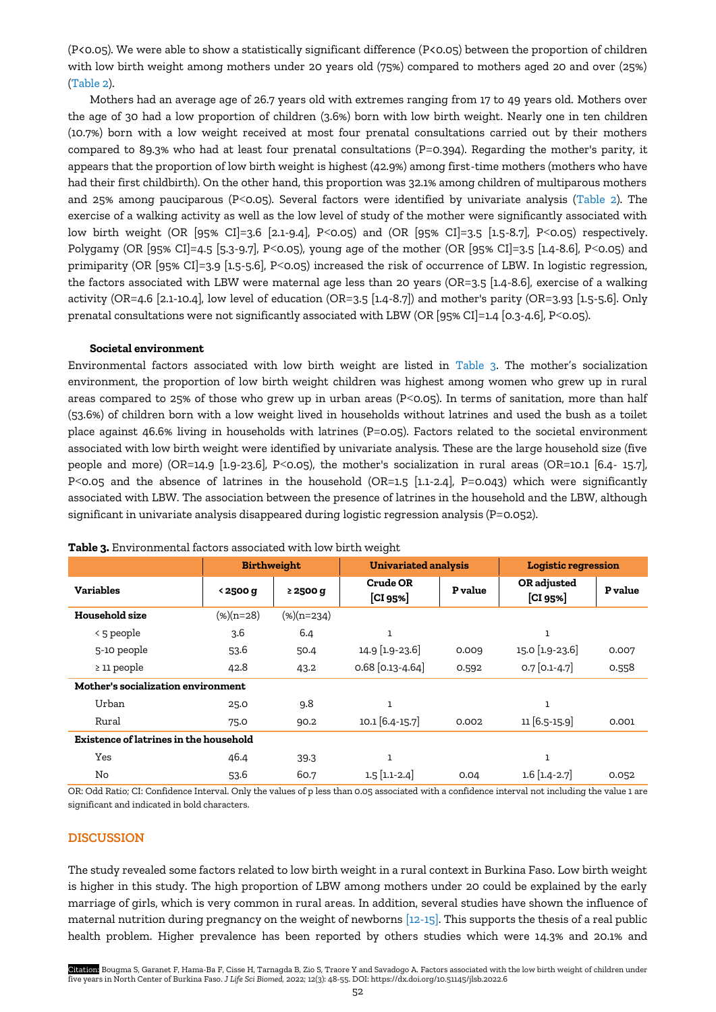(P<0.05). We were able to show a statistically significant difference (P<0.05) between the proportion of children with low birth weight among mothers under 20 years old (75%) compared to mothers aged 20 and over (25%) (Table 2).

Mothers had an average age of 26.7 years old with extremes ranging from 17 to 49 years old. Mothers over the age of 30 had a low proportion of children (3.6%) born with low birth weight. Nearly one in ten children (10.7%) born with a low weight received at most four prenatal consultations carried out by their mothers compared to 89.3% who had at least four prenatal consultations (P=0.394). Regarding the mother's parity, it appears that the proportion of low birth weight is highest (42.9%) among first-time mothers (mothers who have had their first childbirth). On the other hand, this proportion was 32.1% among children of multiparous mothers and 25% among pauciparous (P<0.05). Several factors were identified by univariate analysis (Table 2). The exercise of a walking activity as well as the low level of study of the mother were significantly associated with low birth weight (OR [95% CI]=3.6 [2.1-9.4], P<0.05) and (OR [95% CI]=3.5 [1.5-8.7], P<0.05) respectively. Polygamy (OR [95% CI]=4.5 [5.3-9.7], P<0.05), young age of the mother (OR [95% CI]=3.5 [1.4-8.6], P<0.05) and primiparity (OR [95% CI]=3.9 [1.5-5.6], P<0.05) increased the risk of occurrence of LBW. In logistic regression, the factors associated with LBW were maternal age less than 20 years (OR=3.5 [1.4-8.6], exercise of a walking activity (OR=4.6 [2.1-10.4], low level of education (OR=3.5 [1.4-8.7]) and mother's parity (OR=3.93 [1.5-5.6]. Only prenatal consultations were not significantly associated with LBW (OR [95% CI]=1.4 [0.3-4.6], P<0.05).

## **Societal environment**

Environmental factors associated with low birth weight are listed in Table 3. The mother's socialization environment, the proportion of low birth weight children was highest among women who grew up in rural areas compared to 25% of those who grew up in urban areas (P<0.05). In terms of sanitation, more than half (53.6%) of children born with a low weight lived in households without latrines and used the bush as a toilet place against 46.6% living in households with latrines (P=0.05). Factors related to the societal environment associated with low birth weight were identified by univariate analysis. These are the large household size (five people and more) (OR=14.9 [1.9-23.6], P<0.05), the mother's socialization in rural areas (OR=10.1 [6.4- 15.7], P<0.05 and the absence of latrines in the household (OR=1.5 [1.1-2.4], P=0.043) which were significantly associated with LBW. The association between the presence of latrines in the household and the LBW, although significant in univariate analysis disappeared during logistic regression analysis (P=0.052).

|                                        | <b>Birthweight</b> |               | <b>Univariated analysis</b> |                | <b>Logistic regression</b> |                |  |
|----------------------------------------|--------------------|---------------|-----------------------------|----------------|----------------------------|----------------|--|
| <b>Variables</b>                       | < 2500 g           | $\geq$ 2500 g | <b>Crude OR</b><br>[CI 95%] | <b>P</b> value | OR adjusted<br>[CI 95%]    | <b>P</b> value |  |
| Household size                         | $(\%)(n=28)$       | $(\%)(n=234)$ |                             |                |                            |                |  |
| $\leq$ 5 people                        | 3.6                | 6.4           | ı                           |                | 1                          |                |  |
| 5-10 people                            | 53.6               | 50.4          | 14.9 [1.9-23.6]             | 0.009          | 15.0 [1.9-23.6]            | 0.007          |  |
| $\geq$ 11 people                       | 42.8               | 43.2          | $0.68$ [0.13-4.64]          | 0.592          | $0.7$ [0.1-4.7]            | 0.558          |  |
| Mother's socialization environment     |                    |               |                             |                |                            |                |  |
| Urban                                  | 25.0               | 9.8           | ı                           |                | $\mathbf{1}$               |                |  |
| Rural                                  | 75.0               | 90.2          | 10.1 [6.4-15.7]             | 0.002          | 11 [6.5-15.9]              | 0.001          |  |
| Existence of latrines in the household |                    |               |                             |                |                            |                |  |
| Yes                                    | 46.4               | 39.3          | ı                           |                | $\mathbf{1}$               |                |  |
| No                                     | 53.6               | 60.7          | $1.5$ [1.1-2.4]             | 0.04           | $1.6$ [1.4-2.7]            | 0.052          |  |

**Table 3.** Environmental factors associated with low birth weight

OR: Odd Ratio; CI: Confidence Interval. Only the values of p less than 0.05 associated with a confidence interval not including the value 1 are significant and indicated in bold characters.

## **DISCUSSION**

The study revealed some factors related to low birth weight in a rural context in Burkina Faso. Low birth weight is higher in this study. The high proportion of LBW among mothers under 20 could be explained by the early marriage of girls, which is very common in rural areas. In addition, several studies have shown the influence of maternal nutrition during pregnancy on the weight of newborns [\[12-15\].](#page-7-0) This supports the thesis of a real public health problem. Higher prevalence has been reported by others studies which were 14.3% and 20.1% and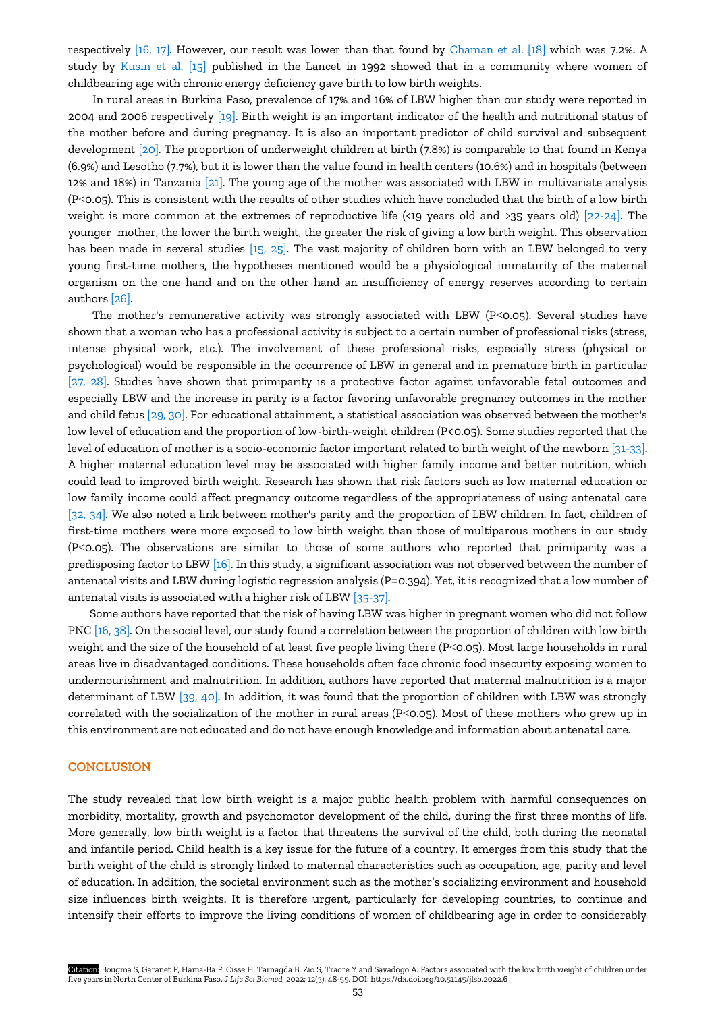respectively [\[16, 17\].](#page-7-0) However, our result was lower than that found by [Chaman et al.](#page-7-0) [18] which was 7.2%. A study by [Kusin](#page-7-0) et al. [15] published in the Lancet in 1992 showed that in a community where women of childbearing age with chronic energy deficiency gave birth to low birth weights.

In rural areas in Burkina Faso, prevalence of 17% and 16% of LBW higher than our study were reported in 2004 and 2006 respectively [\[19\].](#page-7-0) Birth weight is an important indicator of the health and nutritional status of the mother before and during pregnancy. It is also an important predictor of child survival and subsequent development [\[20\].](#page-7-0) The proportion of underweight children at birth (7.8%) is comparable to that found in Kenya (6.9%) and Lesotho (7.7%), but it is lower than the value found in health centers (10.6%) and in hospitals (between 12% and 18%) in Tanzania [\[21\].](#page-7-0) The young age of the mother was associated with LBW in multivariate analysis (P<0.05). This is consistent with the results of other studies which have concluded that the birth of a low birth weight is more common at the extremes of reproductive life (<19 years old and >35 years old) [\[22-24\].](#page-7-0) The younger mother, the lower the birth weight, the greater the risk of giving a low birth weight. This observation has been made in several studies [\[15, 25\].](#page-7-0) The vast majority of children born with an LBW belonged to very young first-time mothers, the hypotheses mentioned would be a physiological immaturity of the maternal organism on the one hand and on the other hand an insufficiency of energy reserves according to certain authors [\[26\]](#page-7-0).

The mother's remunerative activity was strongly associated with LBW (P<0.05). Several studies have shown that a woman who has a professional activity is subject to a certain number of professional risks (stress, intense physical work, etc.). The involvement of these professional risks, especially stress (physical or psychological) would be responsible in the occurrence of LBW in general and in premature birth in particular [\[27, 28\].](#page-7-0) Studies have shown that primiparity is a protective factor against unfavorable fetal outcomes and especially LBW and the increase in parity is a factor favoring unfavorable pregnancy outcomes in the mother and child fetus [\[29, 30\].](#page-7-0) For educational attainment, a statistical association was observed between the mother's low level of education and the proportion of low-birth-weight children (P<0.05). Some studies reported that the level of education of mother is a socio-economic factor important related to birth weight of the newborn [\[31-33\].](#page-7-0)  A higher maternal education level may be associated with higher family income and better nutrition, which could lead to improved birth weight. Research has shown that risk factors such as low maternal education or low family income could affect pregnancy outcome regardless of the appropriateness of using antenatal care [\[32, 34\].](#page-7-0) We also noted a link between mother's parity and the proportion of LBW children. In fact, children of first-time mothers were more exposed to low birth weight than those of multiparous mothers in our study (P<0.05). The observations are similar to those of some authors who reported that primiparity was a predisposing factor to LBW [\[16\].](#page-7-0) In this study, a significant association was not observed between the number of antenatal visits and LBW during logistic regression analysis (P=0.394). Yet, it is recognized that a low number of antenatal visits is associated with a higher risk of LBW [\[35-37\].](#page-7-0) 

Some authors have reported that the risk of having LBW was higher in pregnant women who did not follow PNC [\[16, 38\].](#page-7-0) On the social level, our study found a correlation between the proportion of children with low birth weight and the size of the household of at least five people living there (P<0.05). Most large households in rural areas live in disadvantaged conditions. These households often face chronic food insecurity exposing women to undernourishment and malnutrition. In addition, authors have reported that maternal malnutrition is a major determinant of LBW [\[39, 40\]](#page-7-0). In addition, it was found that the proportion of children with LBW was strongly correlated with the socialization of the mother in rural areas (P<0.05). Most of these mothers who grew up in this environment are not educated and do not have enough knowledge and information about antenatal care.

# **CONCLUSION**

The study revealed that low birth weight is a major public health problem with harmful consequences on morbidity, mortality, growth and psychomotor development of the child, during the first three months of life. More generally, low birth weight is a factor that threatens the survival of the child, both during the neonatal and infantile period. Child health is a key issue for the future of a country. It emerges from this study that the birth weight of the child is strongly linked to maternal characteristics such as occupation, age, parity and level of education. In addition, the societal environment such as the mother's socializing environment and household size influences birth weights. It is therefore urgent, particularly for developing countries, to continue and intensify their efforts to improve the living conditions of women of childbearing age in order to considerably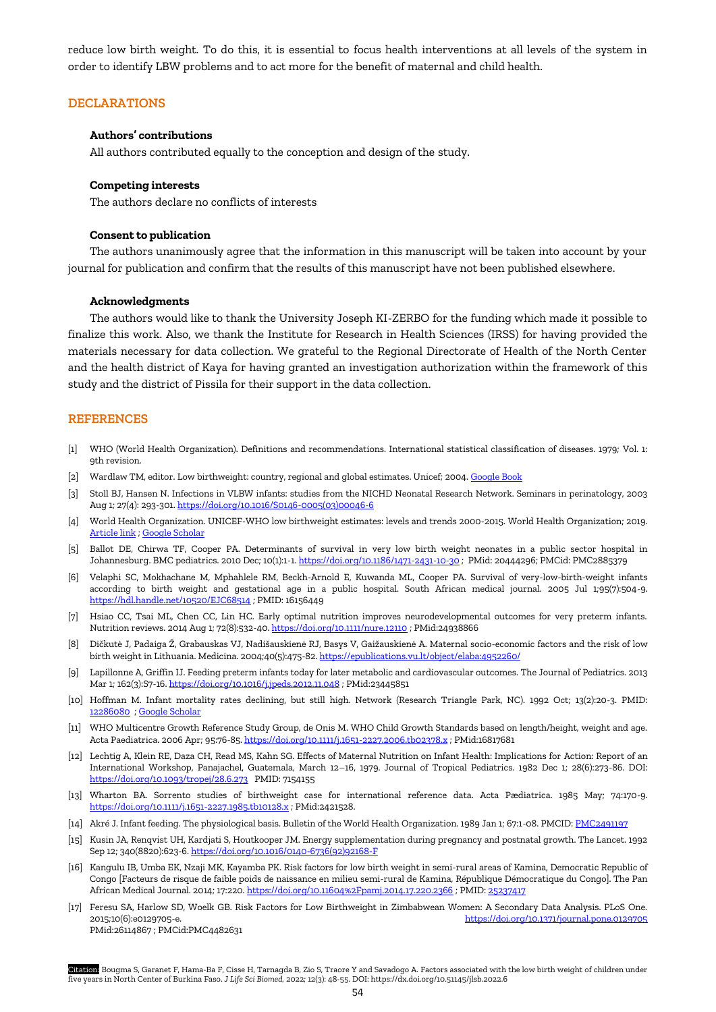reduce low birth weight. To do this, it is essential to focus health interventions at all levels of the system in order to identify LBW problems and to act more for the benefit of maternal and child health.

# **DECLARATIONS**

## **Authors' contributions**

All authors contributed equally to the conception and design of the study.

#### **Competing interests**

The authors declare no conflicts of interests

#### **Consent to publication**

The authors unanimously agree that the information in this manuscript will be taken into account by your journal for publication and confirm that the results of this manuscript have not been published elsewhere.

#### **Acknowledgments**

The authors would like to thank the University Joseph KI-ZERBO for the funding which made it possible to finalize this work. Also, we thank the Institute for Research in Health Sciences (IRSS) for having provided the materials necessary for data collection. We grateful to the Regional Directorate of Health of the North Center and the health district of Kaya for having granted an investigation authorization within the framework of this study and the district of Pissila for their support in the data collection.

# **REFERENCES**

- [1] WHO (World Health Organization). Definitions and recommendations. International statistical classification of diseases. 1979; Vol. 1: 9th revision.
- [2] Wardlaw TM, editor. Low birthweight: country, regional and global estimates. Unicef; 2004[. Google Book](https://books.google.com.tr/books?hl=en&lr=&id=ciHZ-RTA3lQC&oi=fnd&pg=PA1&dq=Lowbirth+weight:+country+regional+and+global+estimates.+New+York:+WHO/UNICEF%3B+2004&ots=tJQJJlgC6m&sig=Jas5uoDAAD5PylUdbV0iaoAGfos&redir_esc=y#v=onepage&q=Lowbirth%20weight%3A%20country%20regional%20and%20global%20estimates.%20New%20York%3A%20WHO%2FUNICEF%3B%202004&f=false)
- [3] Stoll BJ, Hansen N. Infections in VLBW infants: studies from the NICHD Neonatal Research Network. Seminars in perinatology, 2003 Aug 1; 27(4): 293-301[. https://doi.org/10.1016/S0146-0005\(03\)00046-6](https://doi.org/10.1016/S0146-0005(03)00046-6)
- [4] World Health Organization. UNICEF-WHO low birthweight estimates: levels and trends 2000-2015. World Health Organization; 2019. [Article link](https://apps.who.int/iris/bitstream/handle/10665/324783/WHO-NMH-NHD-19.21-eng.pdf) [; Google Scholar](https://scholar.google.com/scholar?hl=en&as_sdt=0%2C5&q=World+HealthOrganization.+UNICEF-WHO.Lowbirthweightestimates%3A+Levels+and+trends+2000-2015.+Geneva%3A+World+HealthOrganization%3B+2019+Licence%3A+CC+BY-NC-SA+3.0+IGO.&btnG=)
- [5] Ballot DE, Chirwa TF, Cooper PA. Determinants of survival in very low birth weight neonates in a public sector hospital in Johannesburg. BMC pediatrics. 2010 Dec; 10(1):1-1[. https://doi.org/10.1186/1471-2431-10-30](https://doi.org/10.1186/1471-2431-10-30) ; PMid: 20444296; PMCid: PMC2885379
- [6] Velaphi SC, Mokhachane M, Mphahlele RM, Beckh-Arnold E, Kuwanda ML, Cooper PA. Survival of very-low-birth-weight infants according to birth weight and gestational age in a public hospital. South African medical journal. 2005 Jul 1;95(7):504-9. <https://hdl.handle.net/10520/EJC68514> ; PMID: 16156449
- [7] Hsiao CC, Tsai ML, Chen CC, Lin HC. Early optimal nutrition improves neurodevelopmental outcomes for very preterm infants. Nutrition reviews. 2014 Aug 1; 72(8):532-40[. https://doi.org/10.1111/nure.12110](https://doi.org/10.1111/nure.12110) ; PMid:24938866
- [8] Dičkutė J, Padaiga Ž, Grabauskas VJ, Nadišauskienė RJ, Basys V, Gaižauskienė A. Maternal socio-economic factors and the risk of low birth weight in Lithuania. Medicina. 2004;40(5):475-82[. https://epublications.vu.lt/object/elaba:4952260/](https://epublications.vu.lt/object/elaba:4952260/)
- [9] Lapillonne A, Griffin IJ. Feeding preterm infants today for later metabolic and cardiovascular outcomes. The Journal of Pediatrics. 2013 Mar 1; 162(3):S7-16[. https://doi.org/10.1016/j.jpeds.2012.11.048](https://doi.org/10.1016/j.jpeds.2012.11.048) ; PMid:23445851
- [10] Hoffman M. Infant mortality rates declining, but still high. Network (Research Triangle Park, NC). 1992 Oct; 13(2):20-3. PMID: [12286080](https://pubmed.ncbi.nlm.nih.gov/12286080/) ; [Google Scholar](https://scholar.google.com/scholar?hl=en&as_sdt=0%2C5&q=%5B44%5D%09Hoffman+M.+Infant+mortality+rates+declining%2C+but+still+high.+NetwRes+Triangle+Park+N+C.+1992+Oct%3B+13%282%29%3A20-3.+PMID%3A+12286080.&btnG=)
- [11] WHO Multicentre Growth Reference Study Group, de Onis M. WHO Child Growth Standards based on length/height, weight and age. Acta Paediatrica. 2006 Apr; 95:76-85[. https://doi.org/10.1111/j.1651-2227.2006.tb02378.x](https://doi.org/10.1111/j.1651-2227.2006.tb02378.x) ; PMid:16817681
- [12] Lechtig A, Klein RE, Daza CH, Read MS, Kahn SG. Effects of Maternal Nutrition on Infant Health: Implications for Action: Report of an International Workshop, Panajachel, Guatemala, March 12–16, 1979. Journal of Tropical Pediatrics. 1982 Dec 1; 28(6):273-86. DOI: <https://doi.org/10.1093/tropej/28.6.273>PMID: 7154155
- [13] Wharton BA. Sorrento studies of birthweight case for international reference data. Acta Pædiatrica. 1985 May; 74:170-9. <https://doi.org/10.1111/j.1651-2227.1985.tb10128.x> ; PMid:2421528.
- [14] Akré J. Infant feeding. The physiological basis. Bulletin of the World Health Organization. 1989 Jan 1; 67:1-08. PMCID[: PMC2491197](https://europepmc.org/article/pmc/pmc2491197)
- [15] Kusin JA, Renqvist UH, Kardjati S, Houtkooper JM. Energy supplementation during pregnancy and postnatal growth. The Lancet. 1992 Sep 12; 340(8820):623-6[. https://doi.org/10.1016/0140-6736\(92\)92168-F](https://doi.org/10.1016/0140-6736(92)92168-F)
- [16] Kangulu IB, Umba EK, Nzaji MK, Kayamba PK. Risk factors for low birth weight in semi-rural areas of Kamina, Democratic Republic of Congo [Facteurs de risque de faible poids de naissance en milieu semi-rural de Kamina, République Démocratique du Congo]. The Pan African Medical Journal. 2014; 17:220. <https://doi.org/10.11604%2Fpamj.2014.17.220.2366> ; PMID[: 25237417](https://pubmed.ncbi.nlm.nih.gov/25237417)
- [17] Feresu SA, Harlow SD, Woelk GB. Risk Factors for Low Birthweight in Zimbabwean Women: A Secondary Data Analysis. PLoS One. 2015;10(6):e0129705-e. <https://doi.org/10.1371/journal.pone.0129705> PMid:26114867 ; PMCid:PMC4482631

Citation: Bougma S, Garanet F, Hama-Ba F, Cisse H, Tarnagda B, Zio S, Traore Y and Savadogo A. Factors associated with the low birth weight of children under five years in North Center of Burkina Faso. *J Life Sci Biomed,* 2022; 12(3): 48-55. DOI: https://dx.doi.org/10.51145/jlsb.2022.6